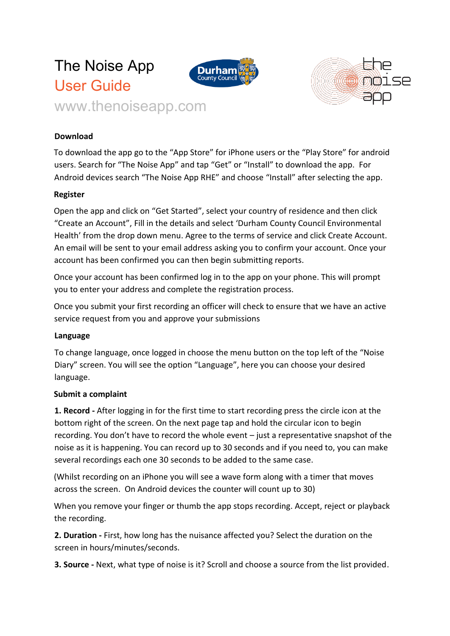



## **Download**

To download the app go to the "App Store" for iPhone users or the "Play Store" for android users. Search for "The Noise App" and tap "Get" or "Install" to download the app. For Android devices search "The Noise App RHE" and choose "Install" after selecting the app.

## **Register**

Open the app and click on "Get Started", select your country of residence and then click "Create an Account", Fill in the details and select 'Durham County Council Environmental Health' from the drop down menu. Agree to the terms of service and click Create Account. An email will be sent to your email address asking you to confirm your account. Once your account has been confirmed you can then begin submitting reports.

Once your account has been confirmed log in to the app on your phone. This will prompt you to enter your address and complete the registration process.

Once you submit your first recording an officer will check to ensure that we have an active service request from you and approve your submissions

## **Language**

To change language, once logged in choose the menu button on the top left of the "Noise Diary" screen. You will see the option "Language", here you can choose your desired language.

## **Submit a complaint**

**1. Record -** After logging in for the first time to start recording press the circle icon at the bottom right of the screen. On the next page tap and hold the circular icon to begin recording. You don't have to record the whole event – just a representative snapshot of the noise as it is happening. You can record up to 30 seconds and if you need to, you can make several recordings each one 30 seconds to be added to the same case.

(Whilst recording on an iPhone you will see a wave form along with a timer that moves across the screen. On Android devices the counter will count up to 30)

When you remove your finger or thumb the app stops recording. Accept, reject or playback the recording.

**2. Duration -** First, how long has the nuisance affected you? Select the duration on the screen in hours/minutes/seconds.

**3. Source -** Next, what type of noise is it? Scroll and choose a source from the list provided.